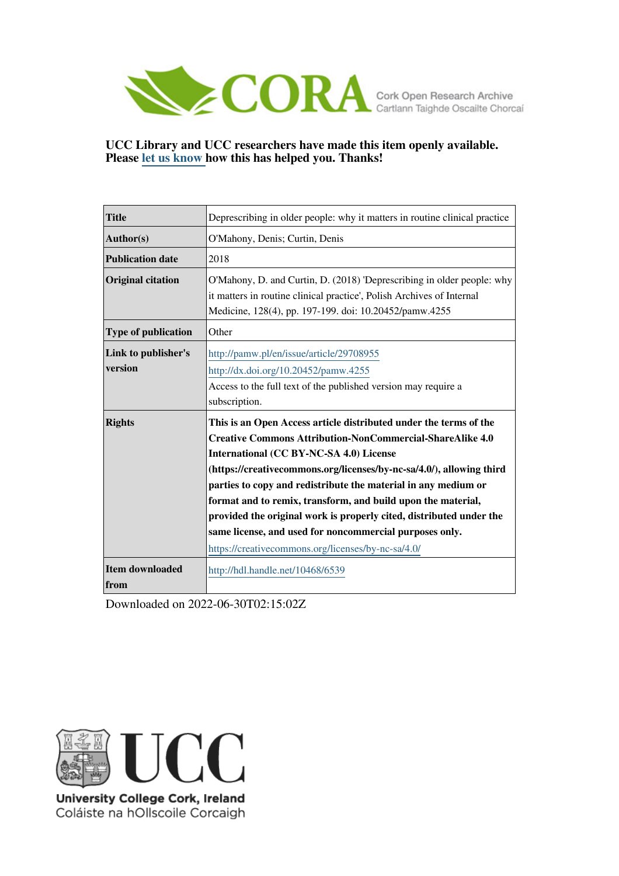

## **UCC Library and UCC researchers have made this item openly available. Please [let us know h](https://libguides.ucc.ie/openaccess/impact?suffix=6539&title=Deprescribing in older people: why it matters in routine clinical practice)ow this has helped you. Thanks!**

| <b>Title</b>                   | Deprescribing in older people: why it matters in routine clinical practice                                                                                                                                                                                                                                                                                                                                                                                                                                                                                                         |
|--------------------------------|------------------------------------------------------------------------------------------------------------------------------------------------------------------------------------------------------------------------------------------------------------------------------------------------------------------------------------------------------------------------------------------------------------------------------------------------------------------------------------------------------------------------------------------------------------------------------------|
| Author(s)                      | O'Mahony, Denis; Curtin, Denis                                                                                                                                                                                                                                                                                                                                                                                                                                                                                                                                                     |
| <b>Publication date</b>        | 2018                                                                                                                                                                                                                                                                                                                                                                                                                                                                                                                                                                               |
| <b>Original citation</b>       | O'Mahony, D. and Curtin, D. (2018) 'Deprescribing in older people: why<br>it matters in routine clinical practice', Polish Archives of Internal<br>Medicine, 128(4), pp. 197-199. doi: 10.20452/pamw.4255                                                                                                                                                                                                                                                                                                                                                                          |
| <b>Type of publication</b>     | Other                                                                                                                                                                                                                                                                                                                                                                                                                                                                                                                                                                              |
| Link to publisher's<br>version | http://pamw.pl/en/issue/article/29708955<br>http://dx.doi.org/10.20452/pamw.4255<br>Access to the full text of the published version may require a<br>subscription.                                                                                                                                                                                                                                                                                                                                                                                                                |
| <b>Rights</b>                  | This is an Open Access article distributed under the terms of the<br><b>Creative Commons Attribution-NonCommercial-ShareAlike 4.0</b><br>International (CC BY-NC-SA 4.0) License<br>(https://creativecommons.org/licenses/by-nc-sa/4.0/), allowing third<br>parties to copy and redistribute the material in any medium or<br>format and to remix, transform, and build upon the material,<br>provided the original work is properly cited, distributed under the<br>same license, and used for noncommercial purposes only.<br>https://creativecommons.org/licenses/by-nc-sa/4.0/ |
| Item downloaded<br>from        | http://hdl.handle.net/10468/6539                                                                                                                                                                                                                                                                                                                                                                                                                                                                                                                                                   |

Downloaded on 2022-06-30T02:15:02Z



University College Cork, Ireland Coláiste na hOllscoile Corcaigh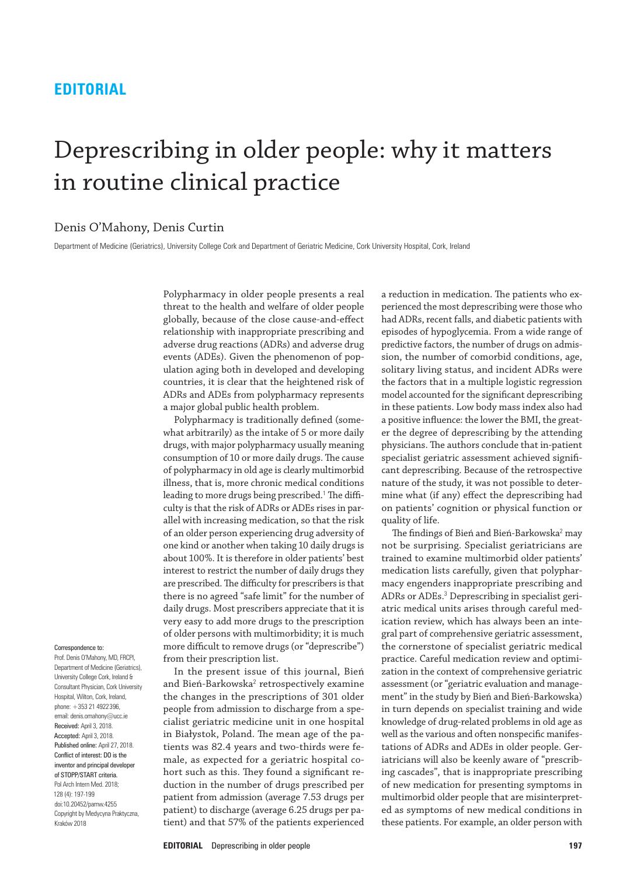# **EDITORIAL**

# Deprescribing in older people: why it matters in routine clinical practice

## Denis O'Mahony, Denis Curtin

Department of Medicine (Geriatrics), University College Cork and Department of Geriatric Medicine, Cork University Hospital, Cork, Ireland

Polypharmacy in older people presents a real threat to the health and welfare of older people globally, because of the close cause‑and‑effect relationship with inappropriate prescribing and adverse drug reactions (ADRs) and adverse drug events (ADEs). Given the phenomenon of population aging both in developed and developing countries, it is clear that the heightened risk of ADRs and ADEs from polypharmacy represents a major global public health problem.

Polypharmacy is traditionally defined (somewhat arbitrarily) as the intake of 5 or more daily drugs, with major polypharmacy usually meaning consumption of 10 or more daily drugs. The cause of polypharmacy in old age is clearly multimorbid illness, that is, more chronic medical conditions leading to more drugs being prescribed.<sup>1</sup> The difficulty is that the risk of ADRs or ADEs rises in parallel with increasing medication, so that the risk of an older person experiencing drug adversity of one kind or another when taking 10 daily drugs is about 100%. It is therefore in older patients' best interest to restrict the number of daily drugs they are prescribed. The difficulty for prescribers is that there is no agreed "safe limit" for the number of daily drugs. Most prescribers appreciate that it is very easy to add more drugs to the prescription of older persons with multimorbidity; it is much more difficult to remove drugs (or "deprescribe") from their prescription list.

In the present issue of this journal, Bień and Bień-Barkowska<sup>2</sup> retrospectively examine the changes in the prescriptions of 301 older people from admission to discharge from a specialist geriatric medicine unit in one hospital in Białystok, Poland. The mean age of the patients was 82.4 years and two-thirds were female, as expected for a geriatric hospital cohort such as this. They found a significant reduction in the number of drugs prescribed per patient from admission (average 7.53 drugs per patient) to discharge (average 6.25 drugs per patient) and that 57% of the patients experienced

a reduction in medication. The patients who experienced the most deprescribing were those who had ADRs, recent falls, and diabetic patients with episodes of hypoglycemia. From a wide range of predictive factors, the number of drugs on admission, the number of comorbid conditions, age, solitary living status, and incident ADRs were the factors that in a multiple logistic regression model accounted for the significant deprescribing in these patients. Low body mass index also had a positive influence: the lower the BMI, the greater the degree of deprescribing by the attending physicians. The authors conclude that in‑patient specialist geriatric assessment achieved significant deprescribing. Because of the retrospective nature of the study, it was not possible to determine what (if any) effect the deprescribing had on patients' cognition or physical function or quality of life.

The findings of Bień and Bień-Barkowska<sup>2</sup> may not be surprising. Specialist geriatricians are trained to examine multimorbid older patients' medication lists carefully, given that polypharmacy engenders inappropriate prescribing and ADRs or ADEs.<sup>3</sup> Deprescribing in specialist geriatric medical units arises through careful medication review, which has always been an integral part of comprehensive geriatric assessment, the cornerstone of specialist geriatric medical practice. Careful medication review and optimization in the context of comprehensive geriatric assessment (or "geriatric evaluation and management" in the study by Bień and Bień‑Barkowska) in turn depends on specialist training and wide knowledge of drug‑related problems in old age as well as the various and often nonspecific manifestations of ADRs and ADEs in older people. Geriatricians will also be keenly aware of "prescribing cascades", that is inappropriate prescribing of new medication for presenting symptoms in multimorbid older people that are misinterpreted as symptoms of new medical conditions in these patients. For example, an older person with

#### Correspondence to:

Prof. Denis O'Mahony, MD, FRCPI, Department of Medicine (Geriatrics), University College Cork, Ireland & Consultant Physician, Cork University Hospital, Wilton, Cork, Ireland, phone: +353 21 4922396, email: denis.omahony@ucc.ie Received: April 3, 2018. Accepted: April 3, 2018. Published online: April 27, 2018. Conflict of interest: DO is the inventor and principal developer of STOPP/START criteria. Pol Arch Intern Med. 2018; 128 (4): 197‑199 doi:10.20452/pamw.4255 Copyright by Medycyna Praktyczna, Kraków 2018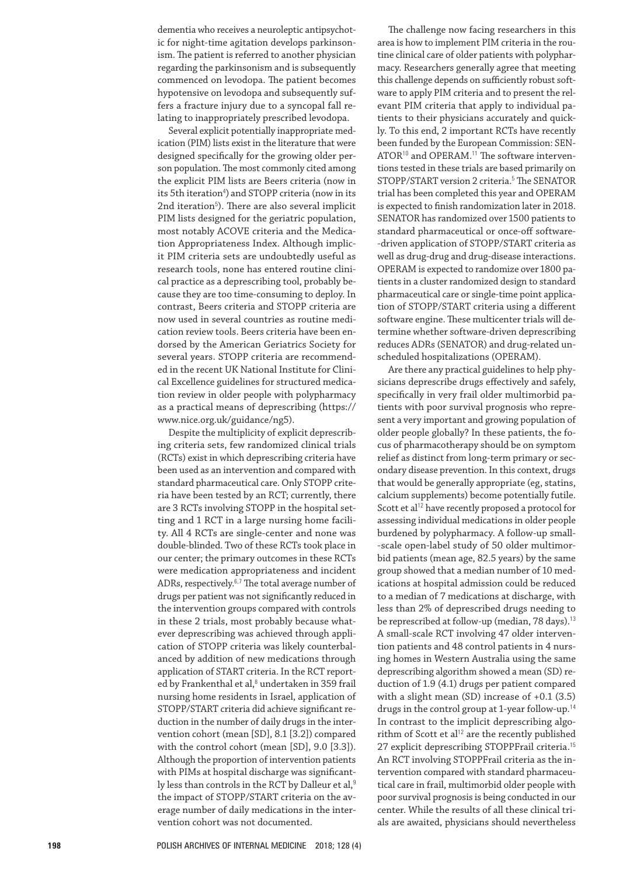dementia who receives a neuroleptic antipsychotic for night-time agitation develops parkinsonism. The patient is referred to another physician regarding the parkinsonism and is subsequently commenced on levodopa. The patient becomes hypotensive on levodopa and subsequently suffers a fracture injury due to a syncopal fall relating to inappropriately prescribed levodopa.

Several explicit potentially inappropriate medication (PIM) lists exist in the literature that were designed specifically for the growing older person population. The most commonly cited among the explicit PIM lists are Beers criteria (now in its 5th iteration<sup>4</sup>) and STOPP criteria (now in its 2nd iteration<sup>5</sup>). There are also several implicit PIM lists designed for the geriatric population, most notably ACOVE criteria and the Medication Appropriateness Index. Although implicit PIM criteria sets are undoubtedly useful as research tools, none has entered routine clini‑ cal practice as a deprescribing tool, probably because they are too time‑consuming to deploy. In contrast, Beers criteria and STOPP criteria are now used in several countries as routine medication review tools. Beers criteria have been endorsed by the American Geriatrics Society for several years. STOPP criteria are recommended in the recent UK National Institute for Clinical Excellence guidelines for structured medication review in older people with polypharmacy as a practical means of deprescribing (https:// www.nice.org.uk/guidance/ng5).

Despite the multiplicity of explicit deprescribing criteria sets, few randomized clinical trials (RCTs) exist in which deprescribing criteria have been used as an intervention and compared with standard pharmaceutical care. Only STOPP criteria have been tested by an RCT; currently, there are 3 RCTs involving STOPP in the hospital setting and 1 RCT in a large nursing home facility. All 4 RCTs are single‑center and none was double‑blinded. Two of these RCTs took place in our center; the primary outcomes in these RCTs were medication appropriateness and incident ADRs, respectively.<sup>6,7</sup> The total average number of drugs per patient was not significantly reduced in the intervention groups compared with controls in these 2 trials, most probably because whatever deprescribing was achieved through application of STOPP criteria was likely counterbalanced by addition of new medications through application of START criteria. In the RCT reported by Frankenthal et al,<sup>8</sup> undertaken in 359 frail nursing home residents in Israel, application of STOPP/START criteria did achieve significant reduction in the number of daily drugs in the intervention cohort (mean [SD], 8.1 [3.2]) compared with the control cohort (mean [SD], 9.0 [3.3]). Although the proportion of intervention patients with PIMs at hospital discharge was significantly less than controls in the RCT by Dalleur et al,<sup>9</sup> the impact of STOPP/START criteria on the average number of daily medications in the intervention cohort was not documented.

The challenge now facing researchers in this area is how to implement PIM criteria in the routine clinical care of older patients with polypharmacy. Researchers generally agree that meeting this challenge depends on sufficiently robust software to apply PIM criteria and to present the relevant PIM criteria that apply to individual patients to their physicians accurately and quickly. To this end, 2 important RCTs have recently been funded by the European Commission: SEN‑ ATOR<sup>10</sup> and OPERAM.<sup>11</sup> The software interventions tested in these trials are based primarily on STOPP/START version 2 criteria.<sup>5</sup> The SENATOR trial has been completed this year and OPERAM is expected to finish randomization later in 2018. SENATOR has randomized over 1500 patients to standard pharmaceutical or once-off software-‑driven application of STOPP/START criteria as well as drug-drug and drug-disease interactions. OPERAM is expected to randomize over 1800 pa‑ tients in a cluster randomized design to standard pharmaceutical care or single-time point application of STOPP/START criteria using a different software engine. These multicenter trials will determine whether software‑driven deprescribing reduces ADRs (SENATOR) and drug-related unscheduled hospitalizations (OPERAM).

Are there any practical guidelines to help physicians deprescribe drugs effectively and safely, specifically in very frail older multimorbid patients with poor survival prognosis who represent a very important and growing population of older people globally? In these patients, the focus of pharmacotherapy should be on symptom relief as distinct from long-term primary or secondary disease prevention. In this context, drugs that would be generally appropriate (eg, statins, calcium supplements) become potentially futile. Scott et al<sup>12</sup> have recently proposed a protocol for assessing individual medications in older people burdened by polypharmacy. A follow-up small--scale open-label study of 50 older multimorbid patients (mean age, 82.5 years) by the same group showed that a median number of 10 medications at hospital admission could be reduced to a median of 7 medications at discharge, with less than 2% of deprescribed drugs needing to be represcribed at follow-up (median, 78 days).<sup>13</sup> A small-scale RCT involving 47 older intervention patients and 48 control patients in 4 nursing homes in Western Australia using the same deprescribing algorithm showed a mean (SD) reduction of 1.9 (4.1) drugs per patient compared with a slight mean (SD) increase of +0.1 (3.5) drugs in the control group at 1-year follow-up.<sup>14</sup> In contrast to the implicit deprescribing algorithm of Scott et al<sup>12</sup> are the recently published 27 explicit deprescribing STOPPFrail criteria.<sup>15</sup> An RCT involving STOPPFrail criteria as the intervention compared with standard pharmaceutical care in frail, multimorbid older people with poor survival prognosis is being conducted in our center. While the results of all these clinical trials are awaited, physicians should nevertheless